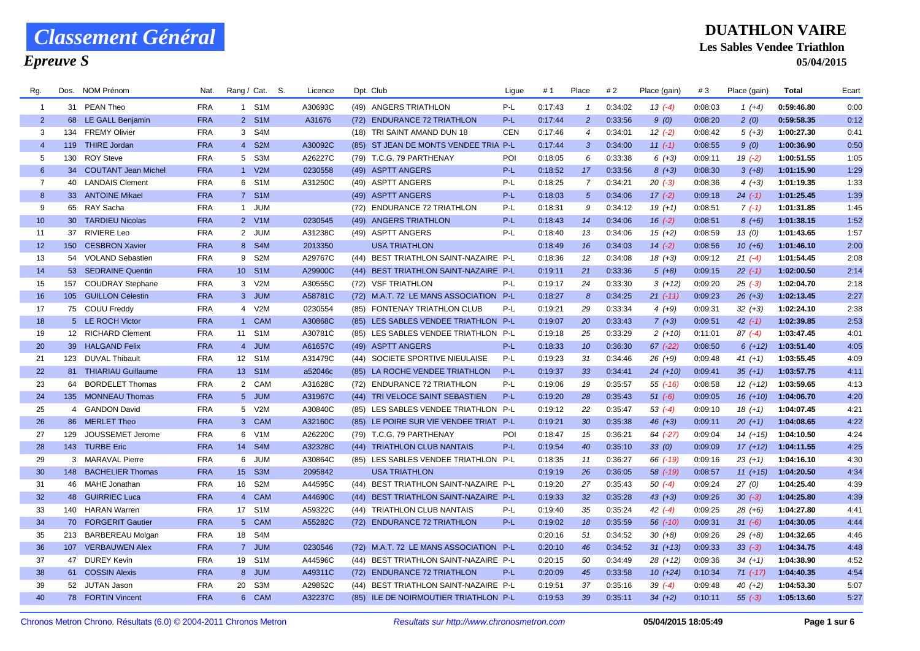## *Epreuve S*

### **DUATHLON VAIRE Les Sables Vendee Triathlon 05/04/2015**

| Rg.            | Dos. | <b>NOM Prénom</b>          | Nat.       | Rang / Cat. S. |                  | Licence | Dpt. Club                              | Ligue      | #1      | Place           | #2      | Place (gain) | #3      | Place (gain) | <b>Total</b> | Ecart |
|----------------|------|----------------------------|------------|----------------|------------------|---------|----------------------------------------|------------|---------|-----------------|---------|--------------|---------|--------------|--------------|-------|
| $\mathbf{1}$   |      | 31 PEAN Theo               | <b>FRA</b> | 1 S1M          |                  | A30693C | (49) ANGERS TRIATHLON                  | P-L        | 0:17:43 | $\mathbf{1}$    | 0:34:02 | $13( -4)$    | 0:08:03 | 1 $(+4)$     | 0:59:46.80   | 0:00  |
| 2              |      | 68 LE GALL Benjamin        | <b>FRA</b> | 2 S1M          |                  | A31676  | (72) ENDURANCE 72 TRIATHLON            | $P-L$      | 0:17:44 | $\overline{2}$  | 0:33:56 | 9(0)         | 0:08:20 | 2(0)         | 0:59:58.35   | 0:12  |
| 3              |      | 134 FREMY Olivier          | <b>FRA</b> | 3 S4M          |                  |         | (18) TRI SAINT AMAND DUN 18            | <b>CEN</b> | 0:17:46 | $\overline{4}$  | 0:34:01 | $12( -2)$    | 0:08:42 | $5(+3)$      | 1:00:27.30   | 0:41  |
| $\overline{4}$ | 119  | <b>THIRE Jordan</b>        | <b>FRA</b> | 4 S2M          |                  | A30092C | (85) ST JEAN DE MONTS VENDEE TRIA P-L  |            | 0:17:44 | $\mathbf{3}$    | 0:34:00 | $11(-1)$     | 0:08:55 | 9(0)         | 1:00:36.90   | 0:50  |
| 5              | 130  | <b>ROY Steve</b>           | <b>FRA</b> | 5 S3M          |                  | A26227C | (79) T.C.G. 79 PARTHENAY               | POI        | 0:18:05 | 6               | 0:33:38 | $6 (+3)$     | 0:09:11 | $19( -2)$    | 1:00:51.55   | 1:05  |
| 6              | 34   | <b>COUTANT Jean Michel</b> | <b>FRA</b> | 1 V2M          |                  | 0230558 | (49) ASPTT ANGERS                      | P-L        | 0:18:52 | 17              | 0:33:56 | $8(+3)$      | 0:08:30 | $3(+8)$      | 1:01:15.90   | 1:29  |
| $\overline{7}$ |      | 40 LANDAIS Clement         | <b>FRA</b> | 6 S1M          |                  | A31250C | (49) ASPTT ANGERS                      | $P-L$      | 0:18:25 | 7               | 0:34:21 | $20( -3)$    | 0:08:36 | $4(+3)$      | 1:01:19.35   | 1:33  |
| 8              |      | 33 ANTOINE Mikael          | <b>FRA</b> | 7 S1M          |                  |         | (49) ASPTT ANGERS                      | P-L        | 0:18:03 | $5^{\circ}$     | 0:34:06 | $17(-2)$     | 0:09:18 | $24$ $(-1)$  | 1:01:25.45   | 1:39  |
| 9              |      | 65 RAY Sacha               | <b>FRA</b> | 1 JUM          |                  |         | (72) ENDURANCE 72 TRIATHLON            | P-L        | 0:18:31 | 9               | 0:34:12 | $19(+1)$     | 0:08:51 | $7(-1)$      | 1:01:31.85   | 1:45  |
| 10             |      | 30 TARDIEU Nicolas         | <b>FRA</b> | 2 V1M          |                  | 0230545 | (49) ANGERS TRIATHLON                  | $P-L$      | 0:18:43 | 14              | 0:34:06 | $16(-2)$     | 0:08:51 | $8(+6)$      | 1:01:38.15   | 1:52  |
| 11             |      | 37 RIVIERE Leo             | <b>FRA</b> | 2 JUM          |                  | A31238C | (49) ASPTT ANGERS                      | P-L        | 0:18:40 | 13              | 0:34:06 | $15(+2)$     | 0:08:59 | 13(0)        | 1:01:43.65   | 1:57  |
| 12             |      | 150 CESBRON Xavier         | <b>FRA</b> | 8 S4M          |                  | 2013350 | <b>USA TRIATHLON</b>                   |            | 0:18:49 | 16              | 0:34:03 | $14(-2)$     | 0:08:56 | $10(+6)$     | 1:01:46.10   | 2:00  |
| 13             |      | 54 VOLAND Sebastien        | <b>FRA</b> | 9              | S <sub>2</sub> M | A29767C | (44) BEST TRIATHLON SAINT-NAZAIRE P-L  |            | 0:18:36 | 12              | 0:34:08 | $18(+3)$     | 0:09:12 | $21 (-4)$    | 1:01:54.45   | 2:08  |
| 14             |      | 53 SEDRAINE Quentin        | <b>FRA</b> | 10 S1M         |                  | A29900C | (44) BEST TRIATHLON SAINT-NAZAIRE P-L  |            | 0:19:11 | 21              | 0:33:36 | $5(+8)$      | 0:09:15 | $22( -1)$    | 1:02:00.50   | 2:14  |
| 15             | 157  | <b>COUDRAY Stephane</b>    | <b>FRA</b> | 3 V2M          |                  | A30555C | (72) VSF TRIATHLON                     | P-L        | 0:19:17 | 24              | 0:33:30 | $3(+12)$     | 0:09:20 | $25(-3)$     | 1:02:04.70   | 2:18  |
| 16             |      | 105 GUILLON Celestin       | <b>FRA</b> | 3 JUM          |                  | A58781C | (72) M.A.T. 72 LE MANS ASSOCIATION P-L |            | 0:18:27 | 8               | 0:34:25 | $21 (-11)$   | 0:09:23 | $26 (+3)$    | 1:02:13.45   | 2:27  |
| 17             |      | 75 COUU Freddy             | <b>FRA</b> | 4 V2M          |                  | 0230554 | (85) FONTENAY TRIATHLON CLUB           | P-L        | 0:19:21 | 29              | 0:33:34 | $4(+9)$      | 0:09:31 | $32 (+3)$    | 1:02:24.10   | 2:38  |
| 18             |      | 5 LE ROCH Victor           | <b>FRA</b> | 1 CAM          |                  | A30868C | (85) LES SABLES VENDEE TRIATHLON P-L   |            | 0:19:07 | 20              | 0:33:43 | $7(+3)$      | 0:09:51 | $42 (-1)$    | 1:02:39.85   | 2:53  |
| 19             |      | 12 RICHARD Clement         | <b>FRA</b> | 11 S1M         |                  | A30781C | (85) LES SABLES VENDEE TRIATHLON P-L   |            | 0:19:18 | 25              | 0:33:29 | $2(+10)$     | 0:11:01 | $87(-4)$     | 1:03:47.45   | 4:01  |
| 20             |      | 39 HALGAND Felix           | <b>FRA</b> | 4 JUM          |                  | A61657C | (49) ASPTT ANGERS                      | $P-L$      | 0:18:33 | 10 <sup>°</sup> | 0:36:30 | $67$ $(-22)$ | 0:08:50 | $6(+12)$     | 1:03:51.40   | 4:05  |
| 21             |      | 123 DUVAL Thibault         | <b>FRA</b> | 12             | S <sub>1</sub> M | A31479C | (44) SOCIETE SPORTIVE NIEULAISE        | P-L        | 0:19:23 | 31              | 0:34:46 | $26 (+9)$    | 0:09:48 | $41 (+1)$    | 1:03:55.45   | 4:09  |
| 22             |      | 81 THIARIAU Guillaume      | <b>FRA</b> | 13 S1M         |                  | a52046c | (85) LA ROCHE VENDEE TRIATHLON         | P-L        | 0:19:37 | 33              | 0:34:41 | $24(+10)$    | 0:09:41 | $35(+1)$     | 1:03:57.75   | 4:11  |
| 23             | 64   | <b>BORDELET Thomas</b>     | <b>FRA</b> | 2 CAM          |                  | A31628C | (72) ENDURANCE 72 TRIATHLON            | $P-L$      | 0:19:06 | 19              | 0:35:57 | $55$ $(-16)$ | 0:08:58 | $12(+12)$    | 1:03:59.65   | 4:13  |
| 24             |      | 135 MONNEAU Thomas         | <b>FRA</b> | 5 JUM          |                  | A31967C | (44) TRI VELOCE SAINT SEBASTIEN        | P-L        | 0:19:20 | 28              | 0:35:43 | $51( -6)$    | 0:09:05 | $16 (+10)$   | 1:04:06.70   | 4:20  |
| 25             |      | 4 GANDON David             | <b>FRA</b> | 5 V2M          |                  | A30840C | (85) LES SABLES VENDEE TRIATHLON P-L   |            | 0:19:12 | 22              | 0:35:47 | $53( -4)$    | 0:09:10 | $18(+1)$     | 1:04:07.45   | 4:21  |
| 26             |      | 86 MERLET Theo             | <b>FRA</b> | 3 CAM          |                  | A32160C | (85) LE POIRE SUR VIE VENDEE TRIAT P-L |            | 0:19:21 | 30              | 0:35:38 | $46 (+3)$    | 0:09:11 | $20(+1)$     | 1:04:08.65   | 4:22  |
| 27             |      | 129 JOUSSEMET Jerome       | <b>FRA</b> | 6 V1M          |                  | A26220C | (79) T.C.G. 79 PARTHENAY               | POI        | 0:18:47 | 15              | 0:36:21 | 64 (-27)     | 0:09:04 | $14 (+15)$   | 1:04:10.50   | 4:24  |
| 28             |      | 143 TURBE Eric             | <b>FRA</b> | 14             | S <sub>4</sub> M | A32328C | (44) TRIATHLON CLUB NANTAIS            | P-L        | 0:19:54 | 40              | 0:35:10 | 33(0)        | 0:09:09 | $17(+12)$    | 1:04:11.55   | 4:25  |
| 29             |      | 3 MARAVAL Pierre           | <b>FRA</b> | 6 JUM          |                  | A30864C | (85) LES SABLES VENDEE TRIATHLON P-L   |            | 0:18:35 | 11              | 0:36:27 | 66 (-19)     | 0:09:16 | $23(+1)$     | 1:04:16.10   | 4:30  |
| 30             |      | 148 BACHELIER Thomas       | <b>FRA</b> | 15 S3M         |                  | 2095842 | <b>USA TRIATHLON</b>                   |            | 0:19:19 | 26              | 0:36:05 | 58 (-19)     | 0:08:57 | $11 (+15)$   | 1:04:20.50   | 4:34  |
| 31             |      | 46 MAHE Jonathan           | <b>FRA</b> | 16             | S <sub>2</sub> M | A44595C | (44) BEST TRIATHLON SAINT-NAZAIRE P-L  |            | 0:19:20 | 27              | 0:35:43 | $50( -4)$    | 0:09:24 | 27(0)        | 1:04:25.40   | 4:39  |
| 32             |      | 48 GUIRRIEC Luca           | <b>FRA</b> | $\overline{4}$ | <b>CAM</b>       | A44690C | (44) BEST TRIATHLON SAINT-NAZAIRE P-L  |            | 0:19:33 | 32 <sup>2</sup> | 0:35:28 | $43 (+3)$    | 0:09:26 | $30(-3)$     | 1:04:25.80   | 4:39  |
| 33             |      | 140 HARAN Warren           | <b>FRA</b> | 17             | S <sub>1</sub> M | A59322C | (44) TRIATHLON CLUB NANTAIS            | P-L        | 0:19:40 | 35              | 0:35:24 | $42 (-4)$    | 0:09:25 | $28(+6)$     | 1:04:27.80   | 4:41  |
| 34             |      | 70 FORGERIT Gautier        | <b>FRA</b> | 5 CAM          |                  | A55282C | (72) ENDURANCE 72 TRIATHLON            | $P-L$      | 0:19:02 | 18              | 0:35:59 | $56$ $(-10)$ | 0:09:31 | $31 (-6)$    | 1:04:30.05   | 4:44  |
| 35             |      | 213 BARBEREAU Molgan       | <b>FRA</b> | 18 S4M         |                  |         |                                        |            | 0:20:16 | 51              | 0:34:52 | $30 (+8)$    | 0:09:26 | $29 (+8)$    | 1:04:32.65   | 4:46  |
| 36             |      | 107 VERBAUWEN Alex         | <b>FRA</b> | 7 JUM          |                  | 0230546 | (72) M.A.T. 72 LE MANS ASSOCIATION P-L |            | 0:20:10 | 46              | 0:34:52 | $31 (+13)$   | 0:09:33 | $33(-3)$     | 1:04:34.75   | 4:48  |
| 37             | 47   | <b>DUREY Kevin</b>         | <b>FRA</b> | 19 S1M         |                  | A44596C | (44) BEST TRIATHLON SAINT-NAZAIRE P-L  |            | 0:20:15 | 50              | 0:34:49 | $28 (+12)$   | 0:09:36 | $34 (+1)$    | 1:04:38.90   | 4:52  |
| 38             |      | 61 COSSIN Alexis           | <b>FRA</b> | 8 JUM          |                  | A49311C | (72) ENDURANCE 72 TRIATHLON            | P-L        | 0:20:09 | 45              | 0:33:58 | $10(+24)$    | 0:10:34 | $71$ (-17)   | 1:04:40.35   | 4:54  |
| 39             |      | 52 JUTAN Jason             | <b>FRA</b> | 20             | S3M              | A29852C | (44) BEST TRIATHLON SAINT-NAZAIRE P-L  |            | 0:19:51 | 37              | 0:35:16 | $39(-4)$     | 0:09:48 | $40 (+2)$    | 1:04:53.30   | 5:07  |
| 40             |      | 78 FORTIN Vincent          | <b>FRA</b> | 6 CAM          |                  | A32237C | (85) ILE DE NOIRMOUTIER TRIATHLON P-L  |            | 0:19:53 | 39              | 0:35:11 | $34(+2)$     | 0:10:11 | $55(-3)$     | 1:05:13.60   | 5:27  |
|                |      |                            |            |                |                  |         |                                        |            |         |                 |         |              |         |              |              |       |

Chronos Metron Chrono. Résultats (6.0) © 2004-2011 Chronos Metron *Resultats sur http://www.chronosmetron.com* **05/04/2015 18:05:49 Page 1 sur 6**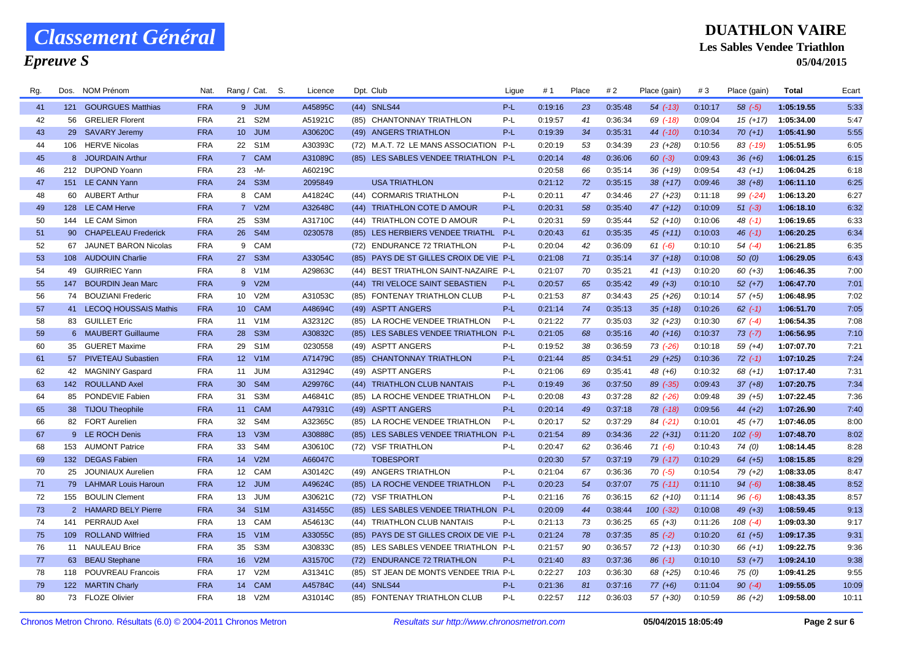## *Epreuve S*

| Rg. | Dos. | <b>NOM Prénom</b>        | Nat.       | Rang / Cat. S.   |                  | Licence |      | Dpt. Club                               | Ligue | #1      | Place | #2      | Place (gain) | #3      | Place (gain) | <b>Total</b> | Ecart |
|-----|------|--------------------------|------------|------------------|------------------|---------|------|-----------------------------------------|-------|---------|-------|---------|--------------|---------|--------------|--------------|-------|
| 41  |      | 121 GOURGUES Matthias    | <b>FRA</b> |                  | 9 JUM            | A45895C |      | (44) SNLS44                             | $P-L$ | 0:19:16 | 23    | 0:35:48 | $54$ $(-13)$ | 0:10:17 | $58( -5)$    | 1:05:19.55   | 5:33  |
| 42  |      | 56 GRELIER Florent       | <b>FRA</b> | 21               | S <sub>2</sub> M | A51921C |      | (85) CHANTONNAY TRIATHLON               | $P-L$ | 0:19:57 | 41    | 0:36:34 | $69$ $(-18)$ | 0:09:04 | $15(+17)$    | 1:05:34.00   | 5:47  |
| 43  |      | 29 SAVARY Jeremy         | <b>FRA</b> | 10 <sup>°</sup>  | <b>JUM</b>       | A30620C |      | (49) ANGERS TRIATHLON                   | $P-L$ | 0:19:39 | 34    | 0:35:31 | $44$ (-10)   | 0:10:34 | $70(+1)$     | 1:05:41.90   | 5:55  |
| 44  |      | 106 HERVE Nicolas        | <b>FRA</b> | 22               | S <sub>1</sub> M | A30393C |      | (72) M.A.T. 72 LE MANS ASSOCIATION      | P-L   | 0:20:19 | 53    | 0:34:39 | $23(+28)$    | 0:10:56 | $83$ (-19)   | 1:05:51.95   | 6:05  |
| 45  |      | 8 JOURDAIN Arthur        | <b>FRA</b> |                  | 7 CAM            | A31089C |      | (85) LES SABLES VENDEE TRIATHLON P-L    |       | 0:20:14 | 48    | 0:36:06 | $60 (-3)$    | 0:09:43 | $36 (+6)$    | 1:06:01.25   | 6:15  |
| 46  |      | 212 DUPOND Yoann         | <b>FRA</b> | 23               | -M-              | A60219C |      |                                         |       | 0:20:58 | 66    | 0:35:14 | $36 (+19)$   | 0:09:54 | $43 (+1)$    | 1:06:04.25   | 6:18  |
| 47  |      | 151 LE CANN Yann         | <b>FRA</b> | 24               | S <sub>3</sub> M | 2095849 |      | <b>USA TRIATHLON</b>                    |       | 0:21:12 | 72    | 0:35:15 | $38(+17)$    | 0:09:46 | $38 (+8)$    | 1:06:11.10   | 6:25  |
| 48  |      | 60 AUBERT Arthur         | <b>FRA</b> | 8                | CAM              | A41824C |      | (44) CORMARIS TRIATHLON                 | P-L   | 0:20:11 | 47    | 0:34:46 | $27 (+23)$   | 0:11:18 | $99(-24)$    | 1:06:13.20   | 6:27  |
| 49  |      | 128 LE CAM Herve         | <b>FRA</b> | 7 <sup>7</sup>   | V2M              | A32648C |      | (44) TRIATHLON COTE D AMOUR             | $P-L$ | 0:20:31 | 58    | 0:35:40 | $47 (+12)$   | 0:10:09 | $51 (-3)$    | 1:06:18.10   | 6:32  |
| 50  |      | 144 LE CAM Simon         | <b>FRA</b> | 25               | S3M              | A31710C |      | (44) TRIATHLON COTE D AMOUR             | P-L   | 0:20:31 | 59    | 0:35:44 | $52(+10)$    | 0:10:06 | $48$ $(-1)$  | 1:06:19.65   | 6:33  |
| 51  |      | 90 CHAPELEAU Frederick   | <b>FRA</b> | 26               | S <sub>4</sub> M | 0230578 |      | (85) LES HERBIERS VENDEE TRIATHL        | $P-L$ | 0:20:43 | 61    | 0:35:35 | $45 (+11)$   | 0:10:03 | $46(-1)$     | 1:06:20.25   | 6:34  |
| 52  |      | 67 JAUNET BARON Nicolas  | <b>FRA</b> | 9                | CAM              |         |      | (72) ENDURANCE 72 TRIATHLON             | P-L   | 0:20:04 | 42    | 0:36:09 | $61 (-6)$    | 0:10:10 | $54(-4)$     | 1:06:21.85   | 6:35  |
| 53  |      | 108 AUDOUIN Charlie      | <b>FRA</b> | 27               | S <sub>3</sub> M | A33054C |      | (85) PAYS DE ST GILLES CROIX DE VIE P-L |       | 0:21:08 | 71    | 0:35:14 | $37 (+18)$   | 0:10:08 | 50(0)        | 1:06:29.05   | 6:43  |
| 54  |      | 49 GUIRRIEC Yann         | <b>FRA</b> | 8                | V <sub>1</sub> M | A29863C |      | (44) BEST TRIATHLON SAINT-NAZAIRE P-L   |       | 0:21:07 | 70    | 0:35:21 | $41 (+13)$   | 0:10:20 | $60 (+3)$    | 1:06:46.35   | 7:00  |
| 55  | 147  | <b>BOURDIN Jean Marc</b> | <b>FRA</b> |                  | 9 V2M            |         |      | (44) TRI VELOCE SAINT SEBASTIEN         | P-L   | 0:20:57 | 65    | 0:35:42 | 49 $(+3)$    | 0:10:10 | $52 (+7)$    | 1:06:47.70   | 7:01  |
| 56  |      | 74 BOUZIANI Frederic     | <b>FRA</b> | 10               | V2M              | A31053C | (85) | <b>FONTENAY TRIATHLON CLUB</b>          | $P-L$ | 0:21:53 | 87    | 0:34:43 | $25(+26)$    | 0:10:14 | $57(+5)$     | 1:06:48.95   | 7:02  |
| 57  |      | 41 LECOQ HOUSSAIS Mathis | <b>FRA</b> | 10 <sup>°</sup>  | <b>CAM</b>       | A48694C |      | (49) ASPTT ANGERS                       | $P-L$ | 0:21:14 | 74    | 0:35:13 | $35(+18)$    | 0:10:26 | $62$ $(-1)$  | 1:06:51.70   | 7:05  |
| 58  |      | 83 GUILLET Eric          | <b>FRA</b> | 11 V1M           |                  | A32312C |      | (85) LA ROCHE VENDEE TRIATHLON          | P-L   | 0:21:22 | 77    | 0:35:03 | $32(+23)$    | 0:10:30 | $67$ $(-4)$  | 1:06:54.35   | 7:08  |
| 59  |      | 6 MAUBERT Guillaume      | <b>FRA</b> | 28               | S <sub>3</sub> M | A30832C |      | (85) LES SABLES VENDEE TRIATHLON        | $P-L$ | 0:21:05 | 68    | 0:35:16 | $40(+16)$    | 0:10:37 | $73(-7)$     | 1:06:56.95   | 7:10  |
| 60  |      | 35 GUERET Maxime         | <b>FRA</b> | 29               | S <sub>1</sub> M | 0230558 |      | (49) ASPTT ANGERS                       | P-L   | 0:19:52 | 38    | 0:36:59 | 73 (-26)     | 0:10:18 | $59(+4)$     | 1:07:07.70   | 7:21  |
| 61  |      | 57 PIVETEAU Subastien    | <b>FRA</b> | 12 <sup>2</sup>  | V1M              | A71479C |      | (85) CHANTONNAY TRIATHLON               | $P-L$ | 0:21:44 | 85    | 0:34:51 | $29 (+25)$   | 0:10:36 | $72$ $(-1)$  | 1:07:10.25   | 7:24  |
| 62  |      | 42 MAGNINY Gaspard       | <b>FRA</b> | 11               | JUM              | A31294C |      | (49) ASPTT ANGERS                       | $P-L$ | 0:21:06 | 69    | 0:35:41 | $48 (+6)$    | 0:10:32 | $68 (+1)$    | 1:07:17.40   | 7:31  |
| 63  |      | 142 ROULLAND Axel        | <b>FRA</b> | 30 <sup>°</sup>  | S <sub>4</sub> M | A29976C |      | (44) TRIATHLON CLUB NANTAIS             | $P-L$ | 0:19:49 | 36    | 0:37:50 | 89 (-35)     | 0:09:43 | $37 (+8)$    | 1:07:20.75   | 7:34  |
| 64  |      | 85 PONDEVIE Fabien       | <b>FRA</b> | 31               | S <sub>3</sub> M | A46841C |      | (85) LA ROCHE VENDEE TRIATHLON          | P-L   | 0:20:08 | 43    | 0:37:28 | $82$ $(-26)$ | 0:09:48 | $39(+5)$     | 1:07:22.45   | 7:36  |
| 65  |      | 38 TIJOU Theophile       | <b>FRA</b> | 11               | <b>CAM</b>       | A47931C |      | (49) ASPTT ANGERS                       | $P-L$ | 0:20:14 | 49    | 0:37:18 | $78$ $(-18)$ | 0:09:56 | 44 $(+2)$    | 1:07:26.90   | 7:40  |
| 66  |      | 82 FORT Aurelien         | <b>FRA</b> | 32               | S4M              | A32365C |      | (85) LA ROCHE VENDEE TRIATHLON          | $P-L$ | 0:20:17 | 52    | 0:37:29 | $84$ (-21)   | 0:10:01 | $45 (+7)$    | 1:07:46.05   | 8:00  |
| 67  |      | 9 LE ROCH Denis          | <b>FRA</b> | 13 <sup>°</sup>  | V3M              | A30888C |      | (85) LES SABLES VENDEE TRIATHLON P-L    |       | 0:21:54 | 89    | 0:34:36 | $22 (+31)$   | 0:11:20 | $102$ $(-9)$ | 1:07:48.70   | 8:02  |
| 68  |      | 153 AUMONT Patrice       | <b>FRA</b> | 33               | S4M              | A30610C |      | (72) VSF TRIATHLON                      | P-L   | 0:20:47 | 62    | 0:36:46 | $71 (-6)$    | 0:10:43 | 74(0)        | 1:08:14.45   | 8:28  |
| 69  |      | 132 DEGAS Fabien         | <b>FRA</b> | 14               | V2M              | A66047C |      | <b>TOBESPORT</b>                        |       | 0:20:30 | 57    | 0:37:19 | $79$ $(-17)$ | 0:10:29 | $64 (+5)$    | 1:08:15.85   | 8:29  |
| 70  | 25   | <b>JOUNIAUX Aurelien</b> | <b>FRA</b> | 12 <sup>12</sup> | <b>CAM</b>       | A30142C |      | (49) ANGERS TRIATHLON                   | P-L   | 0:21:04 | 67    | 0:36:36 | $70(-5)$     | 0:10:54 | $79(+2)$     | 1:08:33.05   | 8:47  |
| 71  |      | 79 LAHMAR Louis Haroun   | <b>FRA</b> |                  | 12 JUM           | A49624C |      | (85) LA ROCHE VENDEE TRIATHLON          | $P-L$ | 0:20:23 | 54    | 0:37:07 | $75$ (-11)   | 0:11:10 | $94 (-6)$    | 1:08:38.45   | 8:52  |
| 72  |      | 155 BOULIN Clement       | <b>FRA</b> | 13               | JUM              | A30621C |      | (72) VSF TRIATHLON                      | P-L   | 0:21:16 | 76    | 0:36:15 | $62 (+10)$   | 0:11:14 | $96(-6)$     | 1:08:43.35   | 8:57  |
| 73  |      | 2 HAMARD BELY Pierre     | <b>FRA</b> | 34               | S <sub>1</sub> M | A31455C |      | (85) LES SABLES VENDEE TRIATHLON P-L    |       | 0:20:09 | 44    | 0:38:44 | $100 (-32)$  | 0:10:08 | $49 (+3)$    | 1:08:59.45   | 9:13  |
| 74  | 141  | <b>PERRAUD Axel</b>      | <b>FRA</b> | 13               | CAM              | A54613C |      | (44) TRIATHLON CLUB NANTAIS             | P-L   | 0:21:13 | 73    | 0:36:25 | $65 (+3)$    | 0:11:26 | $108$ $(-4)$ | 1:09:03.30   | 9:17  |
| 75  |      | 109 ROLLAND Wilfried     | <b>FRA</b> | 15 <sup>2</sup>  | V <sub>1</sub> M | A33055C |      | (85) PAYS DE ST GILLES CROIX DE VIE P-L |       | 0:21:24 | 78    | 0:37:35 | $85(-2)$     | 0:10:20 | $61 (+5)$    | 1:09:17.35   | 9:31  |
| 76  |      | 11 NAULEAU Brice         | <b>FRA</b> | 35               | S <sub>3</sub> M | A30833C |      | (85) LES SABLES VENDEE TRIATHLON P-L    |       | 0:21:57 | 90    | 0:36:57 | 72 (+13)     | 0:10:30 | $66 (+1)$    | 1:09:22.75   | 9:36  |
| 77  |      | 63 BEAU Stephane         | <b>FRA</b> | 16               | V2M              | A31570C |      | (72) ENDURANCE 72 TRIATHLON             | $P-L$ | 0:21:40 | 83    | 0:37:36 | $86$ $(-1)$  | 0:10:10 | $53(+7)$     | 1:09:24.10   | 9:38  |
| 78  |      | 118 POUVREAU Francois    | <b>FRA</b> | 17               | V2M              | A31341C |      | (85) ST JEAN DE MONTS VENDEE TRIA P-L   |       | 0:22:27 | 103   | 0:36:30 | 68 (+25)     | 0:10:46 | 75 (0)       | 1:09:41.25   | 9:55  |
| 79  |      | 122 MARTIN Charly        | <b>FRA</b> | 14               | <b>CAM</b>       | A45784C |      | (44) SNLS44                             | $P-L$ | 0:21:36 | 81    | 0:37:16 | $77(+6)$     | 0:11:04 | $90 (-4)$    | 1:09:55.05   | 10:09 |
| 80  |      | 73 FLOZE Olivier         | <b>FRA</b> | 18               | V <sub>2</sub> M | A31014C |      | (85) FONTENAY TRIATHLON CLUB            | $P-L$ | 0:22:57 | 112   | 0:36:03 | $57(+30)$    | 0:10:59 | $86 (+2)$    | 1:09:58.00   | 10:11 |
|     |      |                          |            |                  |                  |         |      |                                         |       |         |       |         |              |         |              |              |       |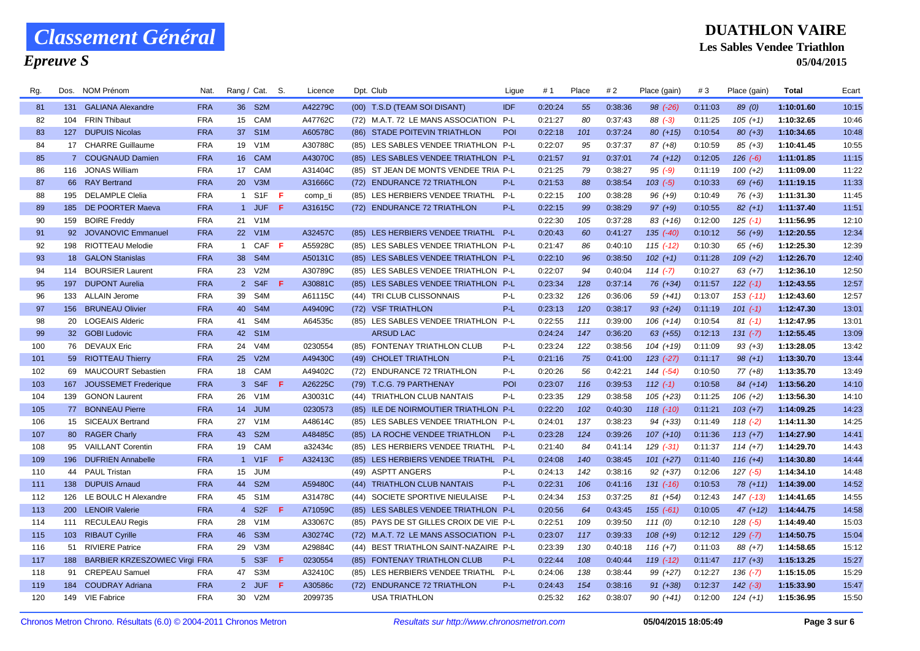## *Epreuve S*

| Rg. | Dos.       | NOM Prénom                        | Nat.       | Rang / Cat.      |                  | S.  | Licence | Dpt. Club                               | Ligue      | #1      | Place | #2      | Place (gain)  | #3      | Place (gain) | Total      | Ecart |
|-----|------------|-----------------------------------|------------|------------------|------------------|-----|---------|-----------------------------------------|------------|---------|-------|---------|---------------|---------|--------------|------------|-------|
| 81  |            | 131 GALIANA Alexandre             | <b>FRA</b> |                  | 36 S2M           |     | A42279C | (00) T.S.D (TEAM SOI DISANT)            | <b>IDF</b> | 0:20:24 | 55    | 0:38:36 | $98$ $(-26)$  | 0:11:03 | 89(0)        | 1:10:01.60 | 10:15 |
| 82  |            | 104 FRIN Thibaut                  | <b>FRA</b> |                  | 15 CAM           |     | A47762C | (72) M.A.T. 72 LE MANS ASSOCIATION P-L  |            | 0:21:27 | 80    | 0:37:43 | $88(-3)$      | 0:11:25 | $105 (+1)$   | 1:10:32.65 | 10:46 |
| 83  |            | 127 DUPUIS Nicolas                | <b>FRA</b> | 37 <sup>2</sup>  | S <sub>1</sub> M |     | A60578C | (86) STADE POITEVIN TRIATHLON           | POI        | 0:22:18 | 101   | 0:37:24 | $80 (+15)$    | 0:10:54 | $80 (+3)$    | 1:10:34.65 | 10:48 |
| 84  |            | 17 CHARRE Guillaume               | <b>FRA</b> | 19               | V1M              |     | A30788C | (85) LES SABLES VENDEE TRIATHLON P-L    |            | 0:22:07 | 95    | 0:37:37 | $87 (+8)$     | 0:10:59 | $85 (+3)$    | 1:10:41.45 | 10:55 |
| 85  |            | 7 COUGNAUD Damien                 | <b>FRA</b> |                  | 16 CAM           |     | A43070C | (85) LES SABLES VENDEE TRIATHLON P-L    |            | 0:21:57 | 91    | 0:37:01 | $74(+12)$     | 0:12:05 | $126(-6)$    | 1:11:01.85 | 11:15 |
| 86  |            | 116 JONAS William                 | <b>FRA</b> |                  | 17 CAM           |     | A31404C | (85) ST JEAN DE MONTS VENDEE TRIA P-L   |            | 0:21:25 | 79    | 0:38:27 | $95( -9)$     | 0:11:19 | $100 (+2)$   | 1:11:09.00 | 11:22 |
| 87  |            | 66 RAY Bertrand                   | <b>FRA</b> | 20               | V3M              |     | A31666C | (72) ENDURANCE 72 TRIATHLON             | $P-L$      | 0:21:53 | 88    | 0:38:54 | $103$ $(-5)$  | 0:10:33 | $69 (+6)$    | 1:11:19.15 | 11:33 |
| 88  |            | 195 DELAMPLE Clelia               | <b>FRA</b> | $\overline{1}$   | S <sub>1</sub> F | -F  | comp_ti | (85) LES HERBIERS VENDEE TRIATHL        | $P-L$      | 0:22:15 | 100   | 0:38:28 | $96 (+9)$     | 0:10:49 | $76 (+3)$    | 1:11:31.30 | 11:45 |
| 89  |            | 185 DE POORTER Maeva              | <b>FRA</b> |                  | 1 JUF            | F   | A31615C | (72) ENDURANCE 72 TRIATHLON             | $P-L$      | 0:22:15 | 99    | 0:38:29 | $97 (+9)$     | 0:10:55 | $82(+1)$     | 1:11:37.40 | 11:51 |
| 90  | 159        | <b>BOIRE Freddy</b>               | <b>FRA</b> | 21               | V1M              |     |         |                                         |            | 0:22:30 | 105   | 0:37:28 | $83(+16)$     | 0:12:00 | $125( -1)$   | 1:11:56.95 | 12:10 |
| 91  |            | 92 JOVANOVIC Emmanuel             | <b>FRA</b> |                  | 22 V1M           |     | A32457C | (85) LES HERBIERS VENDEE TRIATHL P-L    |            | 0:20:43 | 60    | 0:41:27 | $135$ $(-40)$ | 0:10:12 | $56 (+9)$    | 1:12:20.55 | 12:34 |
| 92  |            | 198 RIOTTEAU Melodie              | <b>FRA</b> | $\mathbf{1}$     | CAF              | -F  | A55928C | (85) LES SABLES VENDEE TRIATHLON P-L    |            | 0:21:47 | 86    | 0:40:10 | $115$ $(-12)$ | 0:10:30 | 65 (+6)      | 1:12:25.30 | 12:39 |
| 93  |            | 18 GALON Stanislas                | <b>FRA</b> | 38               | S <sub>4</sub> M |     | A50131C | (85) LES SABLES VENDEE TRIATHLON P-L    |            | 0:22:10 | 96    | 0:38:50 | $102 (+1)$    | 0:11:28 | $109 (+2)$   | 1:12:26.70 | 12:40 |
| 94  |            | 114 BOURSIER Laurent              | <b>FRA</b> | 23               | V2M              |     | A30789C | (85) LES SABLES VENDEE TRIATHLON P-L    |            | 0:22:07 | 94    | 0:40:04 | $114 (-7)$    | 0:10:27 | $63 (+7)$    | 1:12:36.10 | 12:50 |
| 95  |            | 197 DUPONT Aurelia                | <b>FRA</b> |                  | 2 S4F            | F   | A30881C | (85) LES SABLES VENDEE TRIATHLON P-L    |            | 0:23:34 | 128   | 0:37:14 | $76(+34)$     | 0:11:57 | $122 (-1)$   | 1:12:43.55 | 12:57 |
| 96  |            | 133 ALLAIN Jerome                 | <b>FRA</b> | 39               | S4M              |     | A61115C | (44) TRI CLUB CLISSONNAIS               | P-L        | 0:23:32 | 126   | 0:36:06 | 59 (+41)      | 0:13:07 | $153$ (-11)  | 1:12:43.60 | 12:57 |
| 97  |            | 156 BRUNEAU Olivier               | <b>FRA</b> | 40               | S <sub>4</sub> M |     | A49409C | (72) VSF TRIATHLON                      | P-L        | 0:23:13 | 120   | 0:38:17 | $93 (+24)$    | 0:11:19 | $101$ $(-1)$ | 1:12:47.30 | 13:01 |
| 98  |            | 20 LOGEAIS Alderic                | <b>FRA</b> | 41               | S <sub>4</sub> M |     | A64535c | (85) LES SABLES VENDEE TRIATHLON P-L    |            | 0:22:55 | 111   | 0:39:00 | $106 (+14)$   | 0:10:54 | $81(-1)$     | 1:12:47.95 | 13:01 |
| 99  |            | 32 GOBI Ludovic                   | <b>FRA</b> | 42               | S <sub>1</sub> M |     |         | <b>ARSUD LAC</b>                        |            | 0:24:24 | 147   | 0:36:20 | $63 (+55)$    | 0:12:13 | $131 (-7)$   | 1:12:55.45 | 13:09 |
| 100 |            | 76 DEVAUX Eric                    | <b>FRA</b> | 24               | V <sub>4</sub> M |     | 0230554 | (85) FONTENAY TRIATHLON CLUB            | P-L        | 0:23:24 | 122   | 0:38:56 | $104 (+19)$   | 0:11:09 | $93 (+3)$    | 1:13:28.05 | 13:42 |
| 101 |            | 59 RIOTTEAU Thierry               | <b>FRA</b> | 25               | V2M              |     | A49430C | (49) CHOLET TRIATHLON                   | $P-L$      | 0:21:16 | 75    | 0:41:00 | $123 (-27)$   | 0:11:17 | $98(+1)$     | 1:13:30.70 | 13:44 |
| 102 |            | 69 MAUCOURT Sebastien             | <b>FRA</b> |                  | 18 CAM           |     | A49402C | (72) ENDURANCE 72 TRIATHLON             | P-L        | 0:20:26 | 56    | 0:42:21 | $144 (-54)$   | 0:10:50 | $77(+8)$     | 1:13:35.70 | 13:49 |
| 103 |            | 167 JOUSSEMET Frederique          | <b>FRA</b> |                  | 3 S4F            | - F | A26225C | (79) T.C.G. 79 PARTHENAY                | POI        | 0:23:07 | 116   | 0:39:53 | $112(-1)$     | 0:10:58 | $84 (+14)$   | 1:13:56.20 | 14:10 |
| 104 |            | 139 GONON Laurent                 | <b>FRA</b> | 26               | V1M              |     | A30031C | (44) TRIATHLON CLUB NANTAIS             | $P-L$      | 0:23:35 | 129   | 0:38:58 | $105 (+23)$   | 0:11:25 | $106 (+2)$   | 1:13:56.30 | 14:10 |
| 105 | 77         | <b>BONNEAU Pierre</b>             | <b>FRA</b> | 14               | <b>JUM</b>       |     | 0230573 | (85) ILE DE NOIRMOUTIER TRIATHLON P-L   |            | 0:22:20 | 102   | 0:40:30 | $118$ $(-10)$ | 0:11:21 | $103 (+7)$   | 1:14:09.25 | 14:23 |
| 106 |            | 15 SICEAUX Bertrand               | <b>FRA</b> | 27               | V <sub>1</sub> M |     | A48614C | (85) LES SABLES VENDEE TRIATHLON P-L    |            | 0:24:01 | 137   | 0:38:23 | $94(+33)$     | 0:11:49 | $118(-2)$    | 1:14:11.30 | 14:25 |
| 107 |            | 80 RAGER Charly                   | <b>FRA</b> | 43               | S <sub>2</sub> M |     | A48485C | (85) LA ROCHE VENDEE TRIATHLON          | $P-L$      | 0:23:28 | 124   | 0:39:26 | $107 (+10)$   | 0:11:36 | $113 (+7)$   | 1:14:27.90 | 14:41 |
| 108 |            | 95 VAILLANT Corentin              | <b>FRA</b> | 19               | CAM              |     | a32434c | (85) LES HERBIERS VENDEE TRIATHL        | $P-L$      | 0:21:40 | 84    | 0:41:14 | $129( -31)$   | 0:11:37 | $114 (+7)$   | 1:14:29.70 | 14:43 |
| 109 |            | 196 DUFRIEN Annabelle             | <b>FRA</b> |                  | 1 V1F            | -F  | A32413C | (85) LES HERBIERS VENDEE TRIATHL        | P-L        | 0:24:08 | 140   | 0:38:45 | $101 (+27)$   | 0:11:40 | $116 (+4)$   | 1:14:30.80 | 14:44 |
| 110 |            | 44 PAUL Tristan                   | <b>FRA</b> | 15               | <b>JUM</b>       |     |         | (49) ASPTT ANGERS                       | P-L        | 0:24:13 | 142   | 0:38:16 | $92 (+37)$    | 0:12:06 | $127(-5)$    | 1:14:34.10 | 14:48 |
| 111 |            | 138 DUPUIS Arnaud                 | <b>FRA</b> | 44               | S <sub>2</sub> M |     | A59480C | (44) TRIATHLON CLUB NANTAIS             | $P-L$      | 0:22:31 | 106   | 0:41:16 | $131$ $(-16)$ | 0:10:53 | $78(+11)$    | 1:14:39.00 | 14:52 |
| 112 |            | 126 LE BOULC H Alexandre          | <b>FRA</b> | 45               | S1M              |     | A31478C | (44) SOCIETE SPORTIVE NIEULAISE         | $P-L$      | 0:24:34 | 153   | 0:37:25 | $81 (+54)$    | 0:12:43 | $147$ (-13)  | 1:14:41.65 | 14:55 |
| 113 | <b>200</b> | <b>LENOIR Valerie</b>             | <b>FRA</b> | $4 \overline{ }$ | S <sub>2</sub> F | -F  | A71059C | (85) LES SABLES VENDEE TRIATHLON P-L    |            | 0:20:56 | 64    | 0:43:45 | $155(-61)$    | 0:10:05 | $47 (+12)$   | 1:14:44.75 | 14:58 |
| 114 |            | 111 RECULEAU Regis                | <b>FRA</b> | 28               | V <sub>1</sub> M |     | A33067C | (85) PAYS DE ST GILLES CROIX DE VIE P-L |            | 0:22:51 | 109   | 0:39:50 | 111(0)        | 0:12:10 | $128(-5)$    | 1:14:49.40 | 15:03 |
| 115 |            | 103 RIBAUT Cyrille                | <b>FRA</b> | 46               | S <sub>3</sub> M |     | A30274C | (72) M.A.T. 72 LE MANS ASSOCIATION P-L  |            | 0:23:07 | 117   | 0:39:33 | $108 (+9)$    | 0:12:12 | $129(-7)$    | 1:14:50.75 | 15:04 |
| 116 | 51         | <b>RIVIERE Patrice</b>            | <b>FRA</b> | 29               | V3M              |     | A29884C | (44) BEST TRIATHLON SAINT-NAZAIRE P-L   |            | 0:23:39 | 130   | 0:40:18 | $116 (+7)$    | 0:11:03 | $88(+7)$     | 1:14:58.65 | 15:12 |
| 117 |            | 188 BARBIER KRZESZOWIEC Virgi FRA |            |                  | 5 S3F            | -F  | 0230554 | (85) FONTENAY TRIATHLON CLUB            | $P-L$      | 0:22:44 | 108   | 0:40:44 | 119 (-12)     | 0:11:47 | $117 (+3)$   | 1:15:13.25 | 15:27 |
| 118 | 91         | <b>CREPEAU Samuel</b>             | <b>FRA</b> | 47               | S3M              |     | A32410C | (85) LES HERBIERS VENDEE TRIATHL        | $P-L$      | 0:24:06 | 138   | 0:38:44 | 99 (+27)      | 0:12:27 | $136 (-7)$   | 1:15:15.05 | 15:29 |
| 119 |            | 184 COUDRAY Adriana               | <b>FRA</b> |                  | 2 JUF            | -F  | A30586c | (72) ENDURANCE 72 TRIATHLON             | $P-L$      | 0:24:43 | 154   | 0:38:16 | $91 (+38)$    | 0:12:37 | $142$ $(-3)$ | 1:15:33.90 | 15:47 |
| 120 |            | 149 VIE Fabrice                   | <b>FRA</b> | 30               | V2M              |     | 2099735 | <b>USA TRIATHLON</b>                    |            | 0:25:32 | 162   | 0:38:07 | $90 (+41)$    | 0:12:00 | $124 (+1)$   | 1:15:36.95 | 15:50 |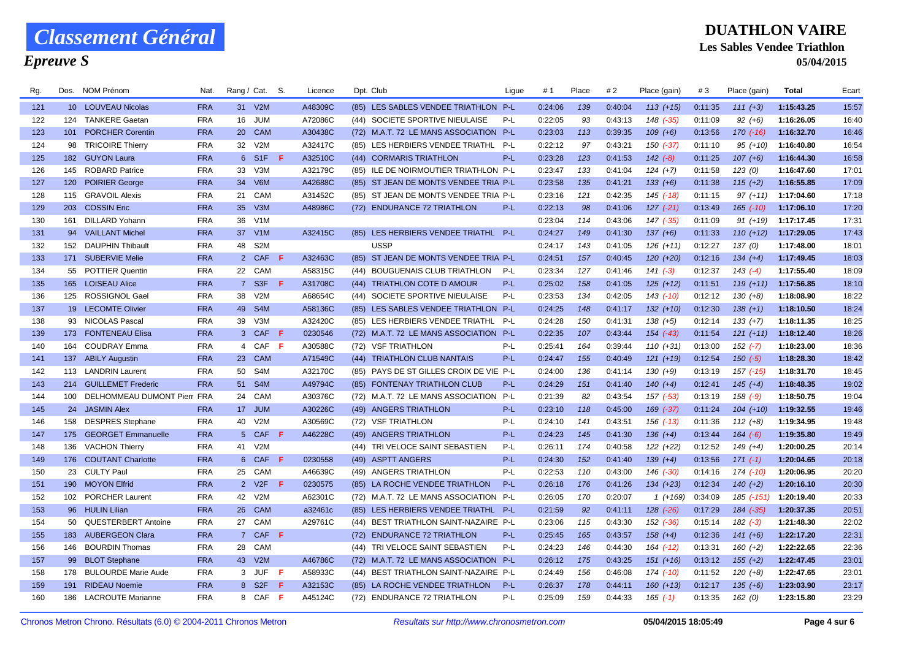## *Epreuve S*

| Rg. |     | Dos. NOM Prénom                 | Nat.       | Rang / Cat. S.  |                  |     | Licence |      | Dpt. Club                               | Ligue | #1      | Place | #2      | Place (gain)  | #3      | Place (gain)  | <b>Total</b> | Ecart |
|-----|-----|---------------------------------|------------|-----------------|------------------|-----|---------|------|-----------------------------------------|-------|---------|-------|---------|---------------|---------|---------------|--------------|-------|
| 121 |     | 10 LOUVEAU Nicolas              | <b>FRA</b> |                 | 31 V2M           |     | A48309C |      | (85) LES SABLES VENDEE TRIATHLON P-L    |       | 0:24:06 | 139   | 0:40:04 | $113 (+15)$   | 0:11:35 | $111 (+3)$    | 1:15:43.25   | 15:57 |
| 122 |     | 124 TANKERE Gaetan              | <b>FRA</b> | 16              | <b>JUM</b>       |     | A72086C |      | (44) SOCIETE SPORTIVE NIEULAISE         | P-L   | 0:22:05 | 93    | 0:43:13 | 148 (-35)     | 0:11:09 | $92 (+6)$     | 1:16:26.05   | 16:40 |
| 123 |     | 101 PORCHER Corentin            | <b>FRA</b> | <b>20</b>       | <b>CAM</b>       |     | A30438C |      | (72) M.A.T. 72 LE MANS ASSOCIATION      | $P-L$ | 0:23:03 | 113   | 0:39:35 | $109 (+6)$    | 0:13:56 | $170(-16)$    | 1:16:32.70   | 16:46 |
| 124 |     | 98 TRICOIRE Thierry             | <b>FRA</b> | 32              | V2M              |     | A32417C |      | (85) LES HERBIERS VENDEE TRIATHL        | P-L   | 0:22:12 | 97    | 0:43:21 | 150 (-37)     | 0:11:10 | $95 (+10)$    | 1:16:40.80   | 16:54 |
| 125 |     | 182 GUYON Laura                 | <b>FRA</b> |                 | 6 S1F            | F.  | A32510C |      | (44) CORMARIS TRIATHLON                 | $P-L$ | 0:23:28 | 123   | 0:41:53 | $142$ $(-8)$  | 0:11:25 | $107 (+6)$    | 1:16:44.30   | 16:58 |
| 126 | 145 | <b>ROBARD Patrice</b>           | <b>FRA</b> | 33              | V3M              |     | A32179C |      | (85) ILE DE NOIRMOUTIER TRIATHLON P-L   |       | 0:23:47 | 133   | 0:41:04 | $124 (+7)$    | 0:11:58 | 123(0)        | 1:16:47.60   | 17:01 |
| 127 |     | 120 POIRIER George              | <b>FRA</b> | 34              | V6M              |     | A42688C |      | (85) ST JEAN DE MONTS VENDEE TRIA P-L   |       | 0:23:58 | 135   | 0:41:21 | $133 (+6)$    | 0:11:38 | $115 (+2)$    | 1:16:55.85   | 17:09 |
| 128 |     | 115 GRAVOIL Alexis              | <b>FRA</b> | 21              | <b>CAM</b>       |     | A31452C |      | (85) ST JEAN DE MONTS VENDEE TRIA P-L   |       | 0:23:16 | 121   | 0:42:35 | $145$ (-18)   | 0:11:15 | $97 (+11)$    | 1:17:04.60   | 17:18 |
| 129 | 203 | <b>COSSIN Eric</b>              | <b>FRA</b> | 35 <sup>5</sup> | V3M              |     | A48986C |      | (72) ENDURANCE 72 TRIATHLON             | $P-L$ | 0:22:13 | 98    | 0:41:06 | $127$ $(-21)$ | 0:13:49 | $165$ $(-10)$ | 1:17:06.10   | 17:20 |
| 130 | 161 | <b>DILLARD Yohann</b>           | <b>FRA</b> | 36              | V <sub>1</sub> M |     |         |      |                                         |       | 0:23:04 | 114   | 0:43:06 | 147 (-35)     | 0:11:09 | $91 (+19)$    | 1:17:17.45   | 17:31 |
| 131 |     | 94 VAILLANT Michel              | <b>FRA</b> | 37 <sup>2</sup> | V1M              |     | A32415C |      | (85) LES HERBIERS VENDEE TRIATHL P-L    |       | 0:24:27 | 149   | 0:41:30 | $137 (+6)$    | 0:11:33 | $110 (+12)$   | 1:17:29.05   | 17:43 |
| 132 |     | 152 DAUPHIN Thibault            | <b>FRA</b> | 48              | S <sub>2</sub> M |     |         |      | <b>USSP</b>                             |       | 0:24:17 | 143   | 0:41:05 | $126 (+11)$   | 0:12:27 | 137(0)        | 1:17:48.00   | 18:01 |
| 133 |     | 171 SUBERVIE Melie              | <b>FRA</b> |                 | 2 CAF            | -F. | A32463C |      | (85) ST JEAN DE MONTS VENDEE TRIA P-L   |       | 0:24:51 | 157   | 0:40:45 | $120 (+20)$   | 0:12:16 | $134 (+4)$    | 1:17:49.45   | 18:03 |
| 134 |     | 55 POTTIER Quentin              | <b>FRA</b> | 22              | CAM              |     | A58315C |      | (44) BOUGUENAIS CLUB TRIATHLON          | P-L   | 0:23:34 | 127   | 0:41:46 | $141 (-3)$    | 0:12:37 | $143(-4)$     | 1:17:55.40   | 18:09 |
| 135 |     | 165 LOISEAU Alice               | <b>FRA</b> |                 | 7 S3F            | -F. | A31708C |      | (44) TRIATHLON COTE D AMOUR             | $P-L$ | 0:25:02 | 158   | 0:41:05 | $125 (+12)$   | 0:11:51 | $119 (+11)$   | 1:17:56.85   | 18:10 |
| 136 | 125 | <b>ROSSIGNOL Gael</b>           | <b>FRA</b> | 38              | V2M              |     | A68654C |      | (44) SOCIETE SPORTIVE NIEULAISE         | P-L   | 0:23:53 | 134   | 0:42:05 | 143 (-10)     | 0:12:12 | $130 (+8)$    | 1:18:08.90   | 18:22 |
| 137 |     | 19 LECOMTE Olivier              | <b>FRA</b> | 49              | S <sub>4</sub> M |     | A58136C |      | (85) LES SABLES VENDEE TRIATHLON P-L    |       | 0:24:25 | 148   | 0:41:17 | $132 (+10)$   | 0:12:30 | $138 (+1)$    | 1:18:10.50   | 18:24 |
| 138 |     | 93 NICOLAS Pascal               | <b>FRA</b> | 39              | V3M              |     | A32420C |      | (85) LES HERBIERS VENDEE TRIATHL        | P-L   | 0:24:28 | 150   | 0:41:31 | $138 (+5)$    | 0:12:14 | $133 (+7)$    | 1:18:11.35   | 18:25 |
| 139 |     | 173 FONTENEAU Elisa             | <b>FRA</b> |                 | 3 CAF            | -F. | 0230546 |      | (72) M.A.T. 72 LE MANS ASSOCIATION      | $P-L$ | 0:22:35 | 107   | 0:43:44 | $154$ $(-43)$ | 0:11:54 | $121 (+11)$   | 1:18:12.40   | 18:26 |
| 140 | 164 | <b>COUDRAY Emma</b>             | <b>FRA</b> | $\overline{4}$  | CAF              | -F  | A30588C |      | (72) VSF TRIATHLON                      | P-L   | 0:25:41 | 164   | 0:39:44 | $110 (+31)$   | 0:13:00 | $152 (-7)$    | 1:18:23.00   | 18:36 |
| 141 |     | 137 ABILY Augustin              | <b>FRA</b> |                 | 23 CAM           |     | A71549C |      | (44) TRIATHLON CLUB NANTAIS             | $P-L$ | 0:24:47 | 155   | 0:40:49 | $121 (+19)$   | 0:12:54 | $150(-5)$     | 1:18:28.30   | 18:42 |
| 142 |     | 113 LANDRIN Laurent             | <b>FRA</b> | 50              | S4M              |     | A32170C |      | (85) PAYS DE ST GILLES CROIX DE VIE P-L |       | 0:24:00 | 136   | 0:41:14 | $130 (+9)$    | 0:13:19 | $157$ $(-15)$ | 1:18:31.70   | 18:45 |
| 143 |     | 214 GUILLEMET Frederic          | <b>FRA</b> | 51              | S <sub>4</sub> M |     | A49794C |      | (85) FONTENAY TRIATHLON CLUB            | $P-L$ | 0:24:29 | 151   | 0:41:40 | $140 (+4)$    | 0:12:41 | $145 (+4)$    | 1:18:48.35   | 19:02 |
| 144 |     | 100 DELHOMMEAU DUMONT Pierr FRA |            | 24              | CAM              |     | A30376C |      | (72) M.A.T. 72 LE MANS ASSOCIATION      | P-L   | 0:21:39 | 82    | 0:43:54 | 157 (-53)     | 0:13:19 | $158$ $(-9)$  | 1:18:50.75   | 19:04 |
| 145 |     | 24 JASMIN Alex                  | <b>FRA</b> | 17 <sup>2</sup> | <b>JUM</b>       |     | A30226C |      | (49) ANGERS TRIATHLON                   | $P-L$ | 0:23:10 | 118   | 0:45:00 | 169 (-37)     | 0:11:24 | $104 (+10)$   | 1:19:32.55   | 19:46 |
| 146 | 158 | <b>DESPRES Stephane</b>         | <b>FRA</b> | 40              | V2M              |     | A30569C |      | (72) VSF TRIATHLON                      | $P-L$ | 0:24:10 | 141   | 0:43:51 | $156$ $(-13)$ | 0:11:36 | $112 (+8)$    | 1:19:34.95   | 19:48 |
| 147 | 175 | <b>GEORGET Emmanuelle</b>       | <b>FRA</b> |                 | 5 CAF            | -F. | A46228C |      | (49) ANGERS TRIATHLON                   | $P-L$ | 0:24:23 | 145   | 0:41:30 | $136 (+4)$    | 0:13:44 | $164 (-6)$    | 1:19:35.80   | 19:49 |
| 148 |     | 136 VACHON Thierry              | <b>FRA</b> | 41              | V2M              |     |         |      | (44) TRI VELOCE SAINT SEBASTIEN         | P-L   | 0:26:11 | 174   | 0:40:58 | 122 (+22)     | 0:12:52 | $149 (+4)$    | 1:20:00.25   | 20:14 |
| 149 |     | 176 COUTANT Charlotte           | <b>FRA</b> | 6               | CAF              | -F. | 0230558 |      | (49) ASPTT ANGERS                       | $P-L$ | 0:24:30 | 152   | 0:41:40 | $139 (+4)$    | 0:13:56 | $171(-1)$     | 1:20:04.65   | 20:18 |
| 150 | 23  | <b>CULTY Paul</b>               | <b>FRA</b> | 25              | <b>CAM</b>       |     | A46639C |      | (49) ANGERS TRIATHLON                   | $P-L$ | 0:22:53 | 110   | 0:43:00 | 146 (-30)     | 0:14:16 | $174$ $(-10)$ | 1:20:06.95   | 20:20 |
| 151 |     | 190 MOYON Elfrid                | <b>FRA</b> |                 | 2 V2F            | -F  | 0230575 |      | (85) LA ROCHE VENDEE TRIATHLON          | $P-L$ | 0:26:18 | 176   | 0:41:26 | $134 (+23)$   | 0:12:34 | $140 (+2)$    | 1:20:16.10   | 20:30 |
| 152 |     | 102 PORCHER Laurent             | <b>FRA</b> | 42              | V2M              |     | A62301C |      | (72) M.A.T. 72 LE MANS ASSOCIATION P-L  |       | 0:26:05 | 170   | 0:20:07 | $1(+169)$     | 0:34:09 | 185 (-151)    | 1:20:19.40   | 20:33 |
| 153 |     | 96 HULIN Lilian                 | <b>FRA</b> | 26 <sup>°</sup> | <b>CAM</b>       |     | a32461c |      | (85) LES HERBIERS VENDEE TRIATHL P-L    |       | 0:21:59 | 92    | 0:41:11 | $128$ $(-26)$ | 0:17:29 | $184$ $(-35)$ | 1:20:37.35   | 20:51 |
| 154 |     | 50 QUESTERBERT Antoine          | <b>FRA</b> | 27              | CAM              |     | A29761C |      | (44) BEST TRIATHLON SAINT-NAZAIRE P-L   |       | 0:23:06 | 115   | 0:43:30 | $152$ $(-36)$ | 0:15:14 | $182$ $(-3)$  | 1:21:48.30   | 22:02 |
| 155 |     | 183 AUBERGEON Clara             | <b>FRA</b> | $7^{\circ}$     | <b>CAF</b>       | -F. |         | (72) | <b>ENDURANCE 72 TRIATHLON</b>           | $P-L$ | 0:25:45 | 165   | 0:43:57 | $158 (+4)$    | 0:12:36 | $141 (+6)$    | 1:22:17.20   | 22:31 |
| 156 | 146 | <b>BOURDIN Thomas</b>           | <b>FRA</b> | 28              | CAM              |     |         |      | (44) TRI VELOCE SAINT SEBASTIEN         | P-L   | 0:24:23 | 146   | 0:44:30 | 164 (-12)     | 0:13:31 | $160 (+2)$    | 1:22:22.65   | 22:36 |
| 157 |     | 99 BLOT Stephane                | <b>FRA</b> | 43              | V2M              |     | A46786C |      | (72) M.A.T. 72 LE MANS ASSOCIATION P-L  |       | 0:26:12 | 175   | 0:43:25 | $151 (+16)$   | 0:13:12 | $155 (+2)$    | 1:22:47.45   | 23:01 |
| 158 | 178 | <b>BULOURDE Marie Aude</b>      | <b>FRA</b> |                 | 3 JUF            | -F  | A58933C |      | (44) BEST TRIATHLON SAINT-NAZAIRE P-L   |       | 0:24:49 | 156   | 0:46:08 | $174$ $(-10)$ | 0:11:52 | $120 (+8)$    | 1:22:47.65   | 23:01 |
| 159 |     | 191 RIDEAU Noemie               | <b>FRA</b> |                 | 8 S2F            | F.  | A32153C |      | (85) LA ROCHE VENDEE TRIATHLON          | $P-L$ | 0:26:37 | 178   | 0:44:11 | $160 (+13)$   | 0:12:17 | $135 (+6)$    | 1:23:03.90   | 23:17 |
| 160 |     | 186 LACROUTE Marianne           | <b>FRA</b> |                 | 8 CAF F          |     | A45124C |      | (72) ENDURANCE 72 TRIATHLON             | P-L   | 0:25:09 | 159   | 0:44:33 | $165$ $(-1)$  | 0:13:35 | 162(0)        | 1:23:15.80   | 23:29 |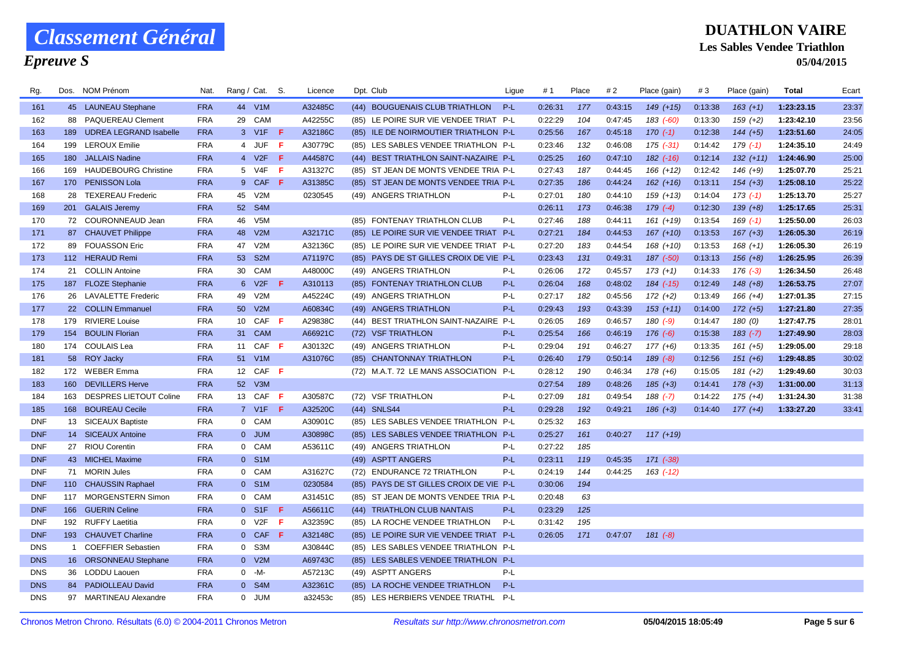### *Epreuve S*

| Rg.        |              | Dos. NOM Prénom            | Nat.       | Rang / Cat. S.  |                  |      | Licence |      | Dpt. Club                               | Ligue | #1      | Place | # 2     | Place (gain)  | #3      | Place (gain) | Total      | Ecart |
|------------|--------------|----------------------------|------------|-----------------|------------------|------|---------|------|-----------------------------------------|-------|---------|-------|---------|---------------|---------|--------------|------------|-------|
| 161        |              | 45 LAUNEAU Stephane        | <b>FRA</b> |                 | 44 V1M           |      | A32485C |      | (44) BOUGUENAIS CLUB TRIATHLON          | P-L   | 0:26:31 | 177   | 0:43:15 | $149 (+15)$   | 0:13:38 | $163 (+1)$   | 1:23:23.15 | 23:37 |
| 162        | 88           | PAQUEREAU Clement          | <b>FRA</b> | 29              | CAM              |      | A42255C |      | (85) LE POIRE SUR VIE VENDEE TRIAT P-L  |       | 0:22:29 | 104   | 0:47:45 | $183$ $(-60)$ | 0:13:30 | $159(+2)$    | 1:23:42.10 | 23:56 |
| 163        |              | 189 UDREA LEGRAND Isabelle | <b>FRA</b> |                 | 3 V1F F          |      | A32186C |      | (85) ILE DE NOIRMOUTIER TRIATHLON P-L   |       | 0:25:56 | 167   | 0:45:18 | $170(-1)$     | 0:12:38 | $144 (+5)$   | 1:23:51.60 | 24:05 |
| 164        | 199          | <b>LEROUX Emilie</b>       | <b>FRA</b> |                 | 4 JUF F          |      | A30779C |      | (85) LES SABLES VENDEE TRIATHLON P-L    |       | 0:23:46 | 132   | 0:46:08 | $175$ $(-31)$ | 0:14:42 | $179(-1)$    | 1:24:35.10 | 24:49 |
| 165        |              | 180 JALLAIS Nadine         | <b>FRA</b> |                 | 4 V2F            | - F. | A44587C |      | (44) BEST TRIATHLON SAINT-NAZAIRE P-L   |       | 0:25:25 | 160   | 0:47:10 | $182$ $(-16)$ | 0:12:14 | $132 (+11)$  | 1:24:46.90 | 25:00 |
| 166        |              | 169 HAUDEBOURG Christine   | <b>FRA</b> |                 | 5 V4F            | -F   | A31327C |      | (85) ST JEAN DE MONTS VENDEE TRIA P-L   |       | 0:27:43 | 187   | 0:44:45 | $166 (+12)$   | 0:12:42 | $146 (+9)$   | 1:25:07.70 | 25:21 |
| 167        | 170          | <b>PENISSON Lola</b>       | <b>FRA</b> |                 | 9 CAF            | -F.  | A31385C |      | (85) ST JEAN DE MONTS VENDEE TRIA P-L   |       | 0:27:35 | 186   | 0:44:24 | $162 (+16)$   | 0:13:11 | $154 (+3)$   | 1:25:08.10 | 25:22 |
| 168        |              | 28 TEXEREAU Frederic       | <b>FRA</b> | 45              | V2M              |      | 0230545 |      | (49) ANGERS TRIATHLON                   | P-L   | 0:27:01 | 180   | 0:44:10 | $159 (+13)$   | 0:14:04 | $173(-1)$    | 1:25:13.70 | 25:27 |
| 169        | 201          | <b>GALAIS Jeremy</b>       | <b>FRA</b> | 52 <sub>2</sub> | S <sub>4</sub> M |      |         |      |                                         |       | 0:26:11 | 173   | 0:46:38 | $179(-4)$     | 0:12:30 | $139 (+8)$   | 1:25:17.65 | 25:31 |
| 170        |              | 72 COURONNEAUD Jean        | <b>FRA</b> | 46              | V <sub>5</sub> M |      |         |      | (85) FONTENAY TRIATHLON CLUB            | $P-L$ | 0:27:46 | 188   | 0:44:11 | $161 (+19)$   | 0:13:54 | $169(-1)$    | 1:25:50.00 | 26:03 |
| 171        |              | 87 CHAUVET Philippe        | <b>FRA</b> | 48              | V2M              |      | A32171C |      | (85) LE POIRE SUR VIE VENDEE TRIAT P-L  |       | 0:27:21 | 184   | 0:44:53 | $167 (+10)$   | 0:13:53 | $167 (+3)$   | 1:26:05.30 | 26:19 |
| 172        |              | 89 FOUASSON Eric           | <b>FRA</b> | 47              | V2M              |      | A32136C |      | (85) LE POIRE SUR VIE VENDEE TRIAT P-L  |       | 0:27:20 | 183   | 0:44:54 | $168 (+10)$   | 0:13:53 | $168 (+1)$   | 1:26:05.30 | 26:19 |
| 173        |              | 112 HERAUD Remi            | <b>FRA</b> | 53              | S <sub>2M</sub>  |      | A71197C |      | (85) PAYS DE ST GILLES CROIX DE VIE P-L |       | 0:23:43 | 131   | 0:49:31 | 187 (-50)     | 0:13:13 | $156 (+8)$   | 1:26:25.95 | 26:39 |
| 174        |              | 21 COLLIN Antoine          | <b>FRA</b> |                 | 30 CAM           |      | A48000C |      | (49) ANGERS TRIATHLON                   | P-L   | 0:26:06 | 172   | 0:45:57 | $173 (+1)$    | 0:14:33 | $176(-3)$    | 1:26:34.50 | 26:48 |
| 175        |              | 187 FLOZE Stephanie        | <b>FRA</b> |                 | 6 V2F            | F.   | A310113 |      | (85) FONTENAY TRIATHLON CLUB            | $P-L$ | 0:26:04 | 168   | 0:48:02 | $184$ $(-15)$ | 0:12:49 | $148 (+8)$   | 1:26:53.75 | 27:07 |
| 176        |              | 26 LAVALETTE Frederic      | <b>FRA</b> | 49              | V2M              |      | A45224C |      | (49) ANGERS TRIATHLON                   | P-L   | 0:27:17 | 182   | 0:45:56 | $172 (+2)$    | 0:13:49 | $166 (+4)$   | 1:27:01.35 | 27:15 |
| 177        |              | 22 COLLIN Emmanuel         | <b>FRA</b> | 50 <sub>o</sub> | V2M              |      | A60834C |      | (49) ANGERS TRIATHLON                   | P-L   | 0:29:43 | 193   | 0:43:39 | $153 (+11)$   | 0:14:00 | $172 (+5)$   | 1:27:21.80 | 27:35 |
| 178        | 179          | <b>RIVIERE Louise</b>      | <b>FRA</b> | 10              | $CAF$ $F$        |      | A29838C |      | (44) BEST TRIATHLON SAINT-NAZAIRE       | P-L   | 0:26:05 | 169   | 0:46:57 | $180(-9)$     | 0:14:47 | 180(0)       | 1:27:47.75 | 28:01 |
| 179        |              | 154 BOULIN Florian         | <b>FRA</b> |                 | 31 CAM           |      | A66921C |      | (72) VSF TRIATHLON                      | $P-L$ | 0:25:54 | 166   | 0:46:19 | $176(-6)$     | 0:15:38 | $183(-7)$    | 1:27:49.90 | 28:03 |
| 180        |              | 174 COULAIS Lea            | <b>FRA</b> | 11              | CAF F            |      | A30132C |      | (49) ANGERS TRIATHLON                   | P-L   | 0:29:04 | 191   | 0:46:27 | $177(+6)$     | 0:13:35 | $161 (+5)$   | 1:29:05.00 | 29:18 |
| 181        |              | 58 ROY Jacky               | <b>FRA</b> |                 | 51 V1M           |      | A31076C | (85) | <b>CHANTONNAY TRIATHLON</b>             | $P-L$ | 0:26:40 | 179   | 0:50:14 | $189(-8)$     | 0:12:56 | $151 (+6)$   | 1:29:48.85 | 30:02 |
| 182        |              | 172 WEBER Emma             | <b>FRA</b> | 12              | CAF F            |      |         |      | (72) M.A.T. 72 LE MANS ASSOCIATION P-L  |       | 0:28:12 | 190   | 0:46:34 | $178(+6)$     | 0:15:05 | $181 (+2)$   | 1:29:49.60 | 30:03 |
| 183        | 160          | <b>DEVILLERS Herve</b>     | <b>FRA</b> |                 | 52 V3M           |      |         |      |                                         |       | 0:27:54 | 189   | 0:48:26 | $185 (+3)$    | 0:14:41 | $178 (+3)$   | 1:31:00.00 | 31:13 |
| 184        | 163          | DESPRES LIETOUT Coline     | <b>FRA</b> |                 | 13 CAF F         |      | A30587C |      | (72) VSF TRIATHLON                      | P-L   | 0:27:09 | 181   | 0:49:54 | $188 (-7)$    | 0:14:22 | $175 (+4)$   | 1:31:24.30 | 31:38 |
| 185        | 168          | <b>BOUREAU Cecile</b>      | <b>FRA</b> |                 | 7 V1F            | -F   | A32520C |      | (44) SNLS44                             | $P-L$ | 0:29:28 | 192   | 0:49:21 | $186 (+3)$    | 0:14:40 | $177 (+4)$   | 1:33:27.20 | 33:41 |
| <b>DNF</b> |              | 13 SICEAUX Baptiste        | <b>FRA</b> |                 | 0 CAM            |      | A30901C |      | (85) LES SABLES VENDEE TRIATHLON P-L    |       | 0:25:32 | 163   |         |               |         |              |            |       |
| <b>DNF</b> |              | 14 SICEAUX Antoine         | <b>FRA</b> |                 | 0 JUM            |      | A30898C |      | (85) LES SABLES VENDEE TRIATHLON        | P-L   | 0:25:27 | 161   | 0:40:27 | $117 (+19)$   |         |              |            |       |
| <b>DNF</b> |              | 27 RIOU Corentin           | <b>FRA</b> | $\mathbf{0}$    | CAM              |      | A53611C |      | (49) ANGERS TRIATHLON                   | P-L   | 0:27:22 | 185   |         |               |         |              |            |       |
| <b>DNF</b> |              | 43 MICHEL Maxime           | <b>FRA</b> |                 | 0 S1M            |      |         |      | (49) ASPTT ANGERS                       | $P-L$ | 0:23:11 | 119   | 0:45:35 | $171$ $(-38)$ |         |              |            |       |
| <b>DNF</b> |              | 71 MORIN Jules             | <b>FRA</b> |                 | 0 CAM            |      | A31627C |      | (72) ENDURANCE 72 TRIATHLON             | $P-L$ | 0:24:19 | 144   | 0:44:25 | $163$ (-12)   |         |              |            |       |
| <b>DNF</b> |              | 110 CHAUSSIN Raphael       | <b>FRA</b> |                 | 0 S1M            |      | 0230584 |      | (85) PAYS DE ST GILLES CROIX DE VIE P-L |       | 0:30:06 | 194   |         |               |         |              |            |       |
| <b>DNF</b> |              | 117 MORGENSTERN Simon      | <b>FRA</b> |                 | 0 CAM            |      | A31451C |      | (85) ST JEAN DE MONTS VENDEE TRIA P-L   |       | 0:20:48 | 63    |         |               |         |              |            |       |
| <b>DNF</b> | 166          | <b>GUERIN Celine</b>       | <b>FRA</b> |                 | $0$ S1F          | -F.  | A56611C |      | (44) TRIATHLON CLUB NANTAIS             | P-L   | 0:23:29 | 125   |         |               |         |              |            |       |
| <b>DNF</b> | 192          | <b>RUFFY Laetitia</b>      | <b>FRA</b> |                 | 0 V2F            | -F   | A32359C |      | (85) LA ROCHE VENDEE TRIATHLON          | P-L   | 0:31:42 | 195   |         |               |         |              |            |       |
| <b>DNF</b> |              | 193 CHAUVET Charline       | <b>FRA</b> |                 | 0 CAF            | -F   | A32148C |      | (85) LE POIRE SUR VIE VENDEE TRIAT P-L  |       | 0:26:05 | 171   | 0:47:07 | $181 (-8)$    |         |              |            |       |
| <b>DNS</b> | $\mathbf{1}$ | <b>COEFFIER Sebastien</b>  | <b>FRA</b> | 0               | S3M              |      | A30844C |      | (85) LES SABLES VENDEE TRIATHLON P-L    |       |         |       |         |               |         |              |            |       |
| <b>DNS</b> |              | 16 ORSONNEAU Stephane      | <b>FRA</b> |                 | $0$ V2M          |      | A69743C |      | (85) LES SABLES VENDEE TRIATHLON P-L    |       |         |       |         |               |         |              |            |       |
| <b>DNS</b> |              | 36 LODDU Laouen            | <b>FRA</b> | $\mathbf{0}$    | -M-              |      | A57213C |      | (49) ASPTT ANGERS                       | $P-L$ |         |       |         |               |         |              |            |       |
| <b>DNS</b> |              | 84 PADIOLLEAU David        | <b>FRA</b> | $\overline{0}$  | S4M              |      | A32361C |      | (85) LA ROCHE VENDEE TRIATHLON          | $P-L$ |         |       |         |               |         |              |            |       |
| <b>DNS</b> |              | 97 MARTINEAU Alexandre     | <b>FRA</b> |                 | 0 JUM            |      | a32453c |      | (85) LES HERBIERS VENDEE TRIATHL        | P-L   |         |       |         |               |         |              |            |       |
|            |              |                            |            |                 |                  |      |         |      |                                         |       |         |       |         |               |         |              |            |       |